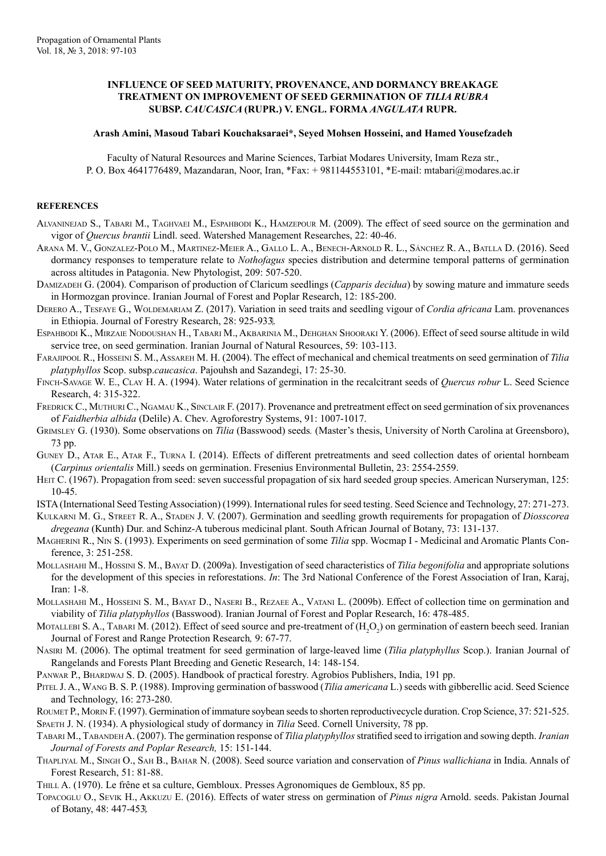## **INFLUENCE OF SEED MATURITY, PROVENANCE, AND DORMANCY BREAKAGE TREATMENT ON IMPROVEMENT OF SEED GERMINATION OF** *TILIA RUBRA*  **SUBSP.** *CAUCASICA* **(RUPR.) V. ENGL. FORMA** *ANGULATA* **RUPR.**

## **Arash Amini, Masoud Tabari Kouchaksaraei\*, Seyed Mohsen Hosseini, and Hamed Yousefzadeh**

Faculty of Natural Resources and Marine Sciences, Tarbiat Modares University, Imam Reza str., P. O. Box 4641776489, Mazandaran, Noor, Iran, \*Fax: +981144553101, \*E-mail: mtabari@modares.ac.ir

## **REFERENCES**

- Alvaninejad S., Tabari M., Taghvaei M., Espahbodi K., Hamzepour M. (2009). The effect of seed source on the germination and vigor of *Quercus brantii* Lindl. seed. Watershed Management Researches, 22: 40-46.
- Arana M. V., Gonzalez-Polo M., Martinez-Meier A., Gallo L. A., Benech-Arnold R. L., Sánchez R. A., Batlla D. (2016). Seed dormancy responses to temperature relate to *Nothofagus* species distribution and determine temporal patterns of germination across altitudes in Patagonia. New Phytologist, 209: 507-520.
- Damizadeh G. (2004). Comparison of production of Claricum seedlings (*Capparis decidua*) by sowing mature and immature seeds in Hormozgan province. Iranian Journal of Forest and Poplar Research, 12: 185-200.
- Derero A., Tesfaye G., Woldemariam Z. (2017). Variation in seed traits and seedling vigour of *Cordia africana* Lam. provenances in Ethiopia. Journal of Forestry Research, 28: 925-933.
- Espahbodi K., Mirzaie Nodoushan H., Tabari M., Akbarinia M., Dehghan Shooraki Y. (2006). Effect of seed sourse altitude in wild service tree, on seed germination. Iranian Journal of Natural Resources, 59: 103-113.
- Farajipool R., Hosseini S. M., Assareh M. H. (2004). The effect of mechanical and chemical treatments on seed germination of *Tilia platyphyllos* Scop. subsp.*caucasica*. Pajouhsh and Sazandegi, 17: 25-30.
- Finch-Savage W. E., Clay H. A. (1994). Water relations of germination in the recalcitrant seeds of *Quercus robur* L. Seed Science Research, 4: 315-322.
- FREDRICK C., MUTHURI C., NGAMAU K., SINCLAIR F. (2017). Provenance and pretreatment effect on seed germination of six provenances of *Faidherbia albida* (Delile) A. Chev. Agroforestry Systems, 91: 1007-1017.
- Grimsley G. (1930). Some observations on *Tilia* (Basswood) seeds*.* (Master's thesis, University of North Carolina at Greensboro), 73 pp.
- Guney D., Atar E., Atar F., Turna I. (2014). Effects of different pretreatments and seed collection dates of oriental hornbeam (*Carpinus orientalis* Mill.) seeds on germination. Fresenius Environmental Bulletin, 23: 2554-2559.
- Herr C. (1967). Propagation from seed: seven successful propagation of six hard seeded group species. American Nurseryman, 125: 10-45.
- ISTA (International Seed Testing Association) (1999). International rules for seed testing. Seed Science and Technology, 27: 271-273.
- Kulkarni M. G., Street R. A., Staden J. V. (2007). Germination and seedling growth requirements for propagation of *Diosscorea dregeana* (Kunth) Dur. and Schinz-A tuberous medicinal plant. South African Journal of Botany, 73: 131-137.
- Magherini R., Nin S. (1993). Experiments on seed germination of some *Tilia* spp. Wocmap I Medicinal and Aromatic Plants Conference, 3: 251-258.
- Mollashahi M., Hossini S. M., Bayat D. (2009a). Investigation of seed characteristics of *Tilia begonifolia* and appropriate solutions for the development of this species in reforestations. *In*: The 3rd National Conference of the Forest Association of Iran, Karaj, Iran: 1-8.
- Mollashahi M., Hosseini S. M., Bayat D., Naseri B., Rezaee A., Vatani L. (2009b). Effect of collection time on germination and viability of *Tilia platyphyllos* (Basswood). Iranian Journal of Forest and Poplar Research, 16: 478-485.
- MOTALLEBI S. A., TABARI M. (2012). Effect of seed source and pre-treatment of  $(H_2O_2)$  on germination of eastern beech seed. Iranian Journal of Forest and Range Protection Research*,* 9: 67-77.
- Nasiri M. (2006). The optimal treatment for seed germination of large-leaved lime (*Tilia platyphyllus* Scop.). Iranian Journal of Rangelands and Forests Plant Breeding and Genetic Research, 14: 148-154.
- PANWAR P., BHARDWAJ S. D. (2005). Handbook of practical forestry. Agrobios Publishers, India, 191 pp.
- Pitel J. A., Wang B. S. P. (1988). Improving germination of basswood (*Tilia americana* L.) seeds with gibberellic acid. Seed Science and Technology, 16: 273-280.
- ROUMET P., MORIN F. (1997). Germination of immature soybean seeds to shorten reproductivecycle duration. Crop Science, 37: 521-525. Spaeth J. N. (1934). A physiological study of dormancy in *Tilia* Seed. Cornell University, 78 pp.
- Tabari M., Tabandeh A. (2007). The germination response of *Tilia platyphyllos* stratified seed to irrigation and sowing depth. *Iranian Journal of Forests and Poplar Research,* 15: 151-144.
- Thapliyal M., Singh O., Sah B., Bahar N. (2008). Seed source variation and conservation of *Pinus wallichiana* in India. Annals of Forest Research, 51: 81-88.
- Thill A. (1970). Le frêne et sa culture, Gembloux. Presses Agronomiques de Gembloux, 85 pp.
- Topacoglu O., Sevik H., Akkuzu E. (2016). Effects of water stress on germination of *Pinus nigra* Arnold. seeds. Pakistan Journal of Botany, 48: 447-453.